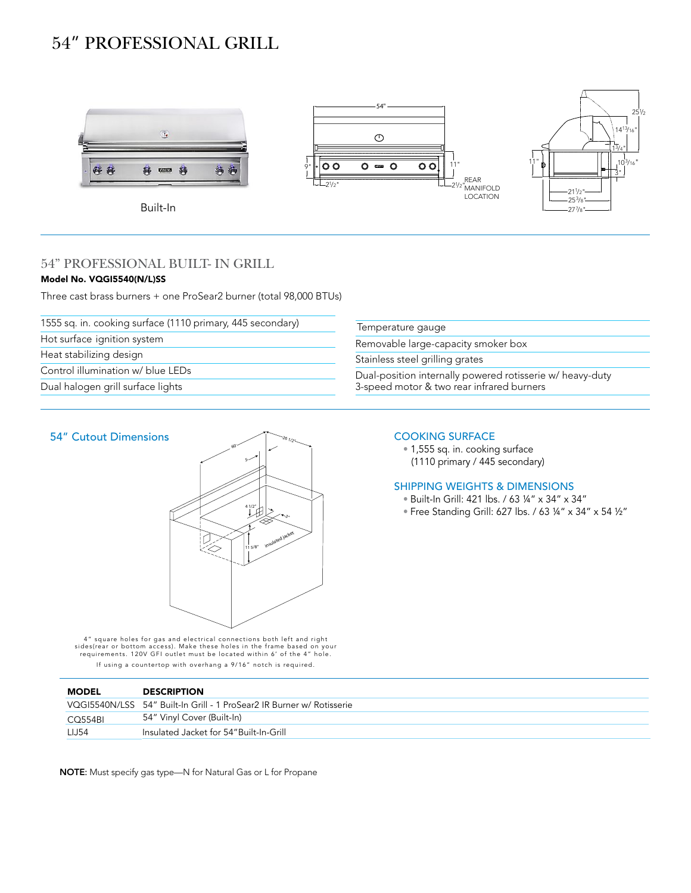

Built-In



Temperature gauge



## 54" PROFESSIONAL BUILT- IN GRILL

## Model No. VQGI5540(N/L)SS

Three cast brass burners + one ProSear2 burner (total 98,000 BTUs)

|  |  |  | 1555 sq. in. cooking surface (1110 primary, 445 secondary) |
|--|--|--|------------------------------------------------------------|
|--|--|--|------------------------------------------------------------|

Hot surface ignition system

Heat stabilizing design

Control illumination w/ blue LEDs

Dual halogen grill surface lights

### 54" Cutout Dimensions



4" square holes for gas and electrical connections both left and right sides(rear or bottom access). Make these holes in the frame based on your requirements. 120V GFI outlet must be located within 6' of the 4" hole. If using a countertop with overhang a 9/16" notch is required.

| Removable large-capacity smoker box                                                                    |  |
|--------------------------------------------------------------------------------------------------------|--|
| Stainless steel grilling grates                                                                        |  |
| Dual-position internally powered rotisserie w/ heavy-duty<br>3-speed motor & two rear infrared burners |  |

### COOKING SURFACE

• 1,555 sq. in. cooking surface (1110 primary / 445 secondary)

#### SHIPPING WEIGHTS & DIMENSIONS

- Built-In Grill: 421 lbs. / 63 ¼" x 34" x 34"
- Free Standing Grill: 627 lbs. / 63 ¼" x 34" x 54 ½"

| <b>MODEL</b> | <b>DESCRIPTION</b>                                                    |
|--------------|-----------------------------------------------------------------------|
|              | VQGI5540N/LSS 54" Built-In Grill - 1 ProSear2 IR Burner w/ Rotisserie |
| CO554BI      | 54" Vinyl Cover (Built-In)                                            |
| LIJ54        | Insulated Jacket for 54"Built-In-Grill                                |

NOTE: Must specify gas type—N for Natural Gas or L for Propane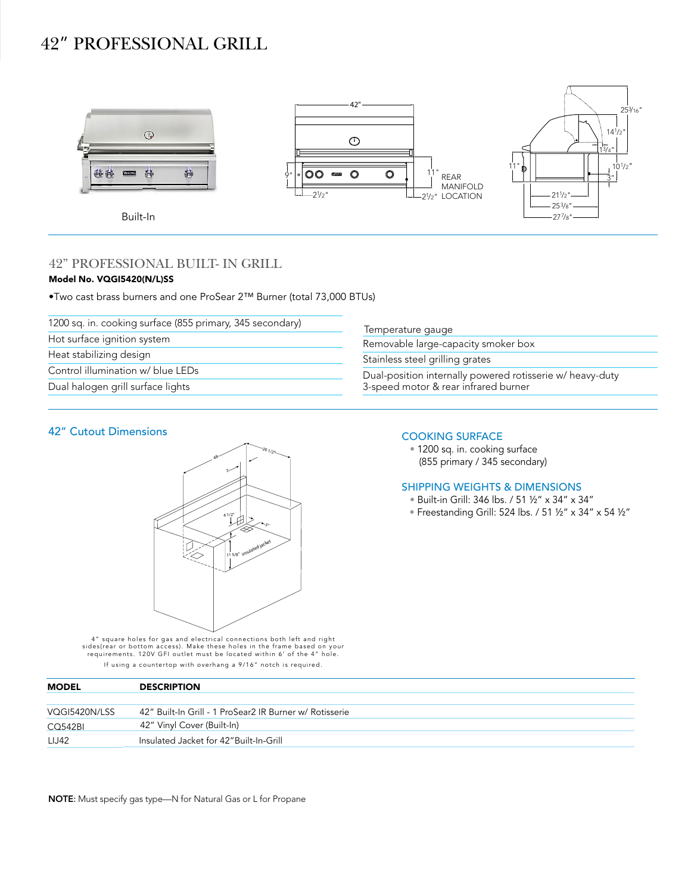

## 42" PROFESSIONAL BUILT- IN GRILL

## Model No. VQGI5420(N/L)SS

•Two cast brass burners and one ProSear 2™ Burner (total 73,000 BTUs)

| 1200 sq. in. cooking surface (855 primary, 345 secondary) | Temperature gauge<br>Removable large-capacity smoker box  |  |
|-----------------------------------------------------------|-----------------------------------------------------------|--|
| Hot surface ignition system                               |                                                           |  |
| Heat stabilizing design                                   | Stainless steel grilling grates                           |  |
| Control illumination w/ blue LEDs                         | Dual-position internally powered rotisserie w/ heavy-duty |  |
| Dual halogen grill surface lights                         | 3-speed motor & rear infrared burner                      |  |
|                                                           |                                                           |  |

### 42" Cutout Dimensions



4" square holes for gas and electrical connections both left and right sides(rear or bottom access). Make these holes in the frame based on your requirements. 120V GFI outlet must be located within 6' of the 4" hole.

#### COOKING SURFACE

• 1200 sq. in. cooking surface (855 primary / 345 secondary)

#### SHIPPING WEIGHTS & DIMENSIONS

- Built-in Grill: 346 lbs. / 51 ½" x 34" x 34"
- Freestanding Grill: 524 lbs. / 51 ½" x 34" x 54 ½"

If using a countertop with overhang a 9/16" notch is required.

| <b>MODEL</b>  | <b>DESCRIPTION</b>                                      |
|---------------|---------------------------------------------------------|
|               |                                                         |
| VOGI5420N/LSS | 42" Built-In Grill - 1 ProSear2 IR Burner w/ Rotisserie |
| CO542BI       | 42" Vinyl Cover (Built-In)                              |
| LIJ42         | Insulated Jacket for 42"Built-In-Grill                  |

NOTE: Must specify gas type—N for Natural Gas or L for Propane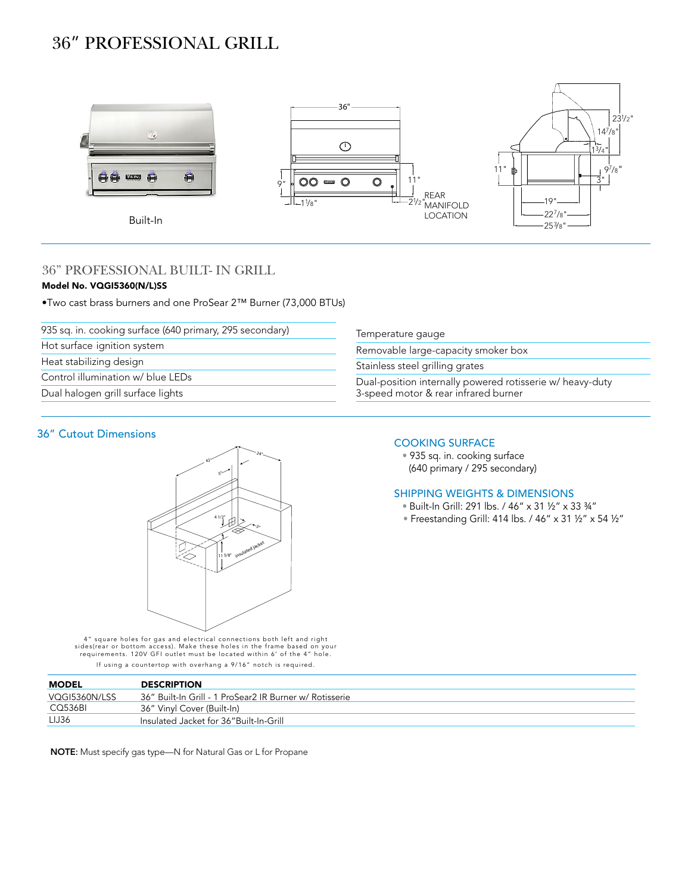

## 36" PROFESSIONAL BUILT- IN GRILL

### Model No. VQGI5360(N/L)SS

•Two cast brass burners and one ProSear 2™ Burner (73,000 BTUs)

| 935 sq. in. cooking surface (640 primary, 295 secondary) | Temperature gauge                                         |  |
|----------------------------------------------------------|-----------------------------------------------------------|--|
| Hot surface ignition system                              | Removable large-capacity smoker box                       |  |
| Heat stabilizing design                                  | Stainless steel grilling grates                           |  |
| Control illumination w/ blue LEDs                        | Dual-position internally powered rotisserie w/ heavy-duty |  |
| Dual halogen grill surface lights                        | 3-speed motor & rear infrared burner                      |  |
|                                                          |                                                           |  |

## 36" Cutout Dimensions



4" square holes for gas and electrical connections both left and right sides(rear or bottom access). Make these holes in the frame based on your requirements. 120V GFI outlet must be located within 6' of the 4" hole. If using a countertop with overhang a 9/16" notch is required.

MODEL DESCRIPTION VQGI5360N/LSS CQ536BI 36" Built-In Grill - 1 ProSear2 IR Burner w/ Rotisserie LIJ36 Insulated Jacket for 36"Built-In-Grill 36" Vinyl Cover (Built-In)

NOTE: Must specify gas type—N for Natural Gas or L for Propane

#### COOKING SURFACE

• 935 sq. in. cooking surface (640 primary / 295 secondary)

#### SHIPPING WEIGHTS & DIMENSIONS

- Built-In Grill: 291 lbs. / 46" x 31 ½" x 33 ¾"
- Freestanding Grill: 414 lbs. / 46" x 31 ½" x 54 ½"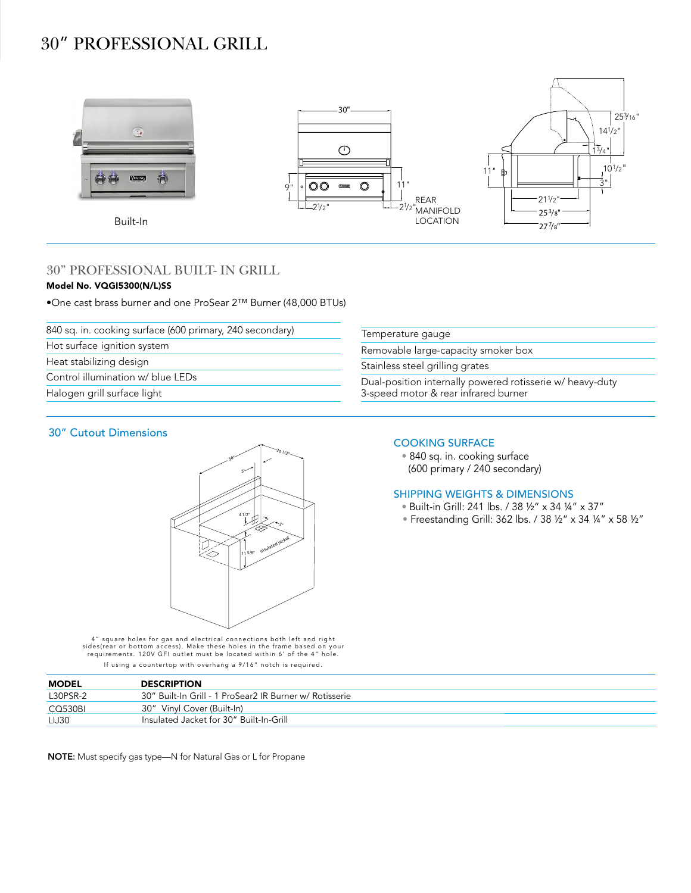

## 30" PROFESSIONAL BUILT- IN GRILL

### Model No. VQGI5300(N/L)SS

•One cast brass burner and one ProSear 2™ Burner (48,000 BTUs)

| 840 sq. in. cooking surface (600 primary, 240 secondary) | Temperature gauge                                         |  |
|----------------------------------------------------------|-----------------------------------------------------------|--|
| Hot surface ignition system                              | Removable large-capacity smoker box                       |  |
| Heat stabilizing design                                  | Stainless steel grilling grates                           |  |
| Control illumination w/ blue LEDs                        | Dual-position internally powered rotisserie w/ heavy-duty |  |
| Halogen grill surface light                              | 3-speed motor & rear infrared burner                      |  |

COOKING SURFACE

• 840 sq. in. cooking surface (600 primary / 240 secondary)

SHIPPING WEIGHTS & DIMENSIONS

• Built-in Grill: 241 lbs. / 38 ½" x 34 ¼" x 37"

• Freestanding Grill: 362 lbs. / 38 ½" x 34 ¼" x 58 ½"

#### 30" Cutout Dimensions



4" square holes for gas and electrical connections both left and right sides(rear or bottom access). Make these holes in the frame based on your requirements. 120V GFI outlet must be located within 6' of the 4" hole. If using a countertop with overhang a 9/16" notch is required.

| <b>MODEL</b> | <b>DESCRIPTION</b>                                      |
|--------------|---------------------------------------------------------|
| L30PSR-2     | 30" Built-In Grill - 1 ProSear2 IR Burner w/ Rotisserie |
| CQ530BI      | 30" Vinyl Cover (Built-In)                              |
| LIJ30        | Insulated Jacket for 30" Built-In-Grill                 |

NOTE: Must specify gas type—N for Natural Gas or L for Propane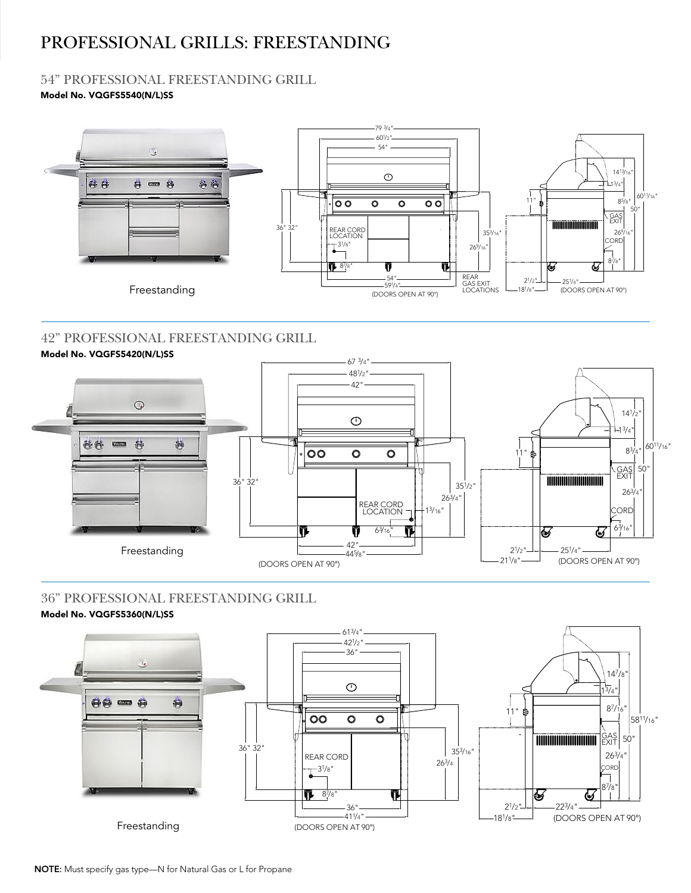# PROFESSIONAL GRILLS: FREESTANDING

54" PROFESSIONAL FREESTANDING GRILL

Model No. VQGFS5540(N/L)SS



42" PROFESSIONAL FREESTANDING GRILL



## 36" PROFESSIONAL FREESTANDING GRILL

Model No. VQGFS5360(N/L)SS